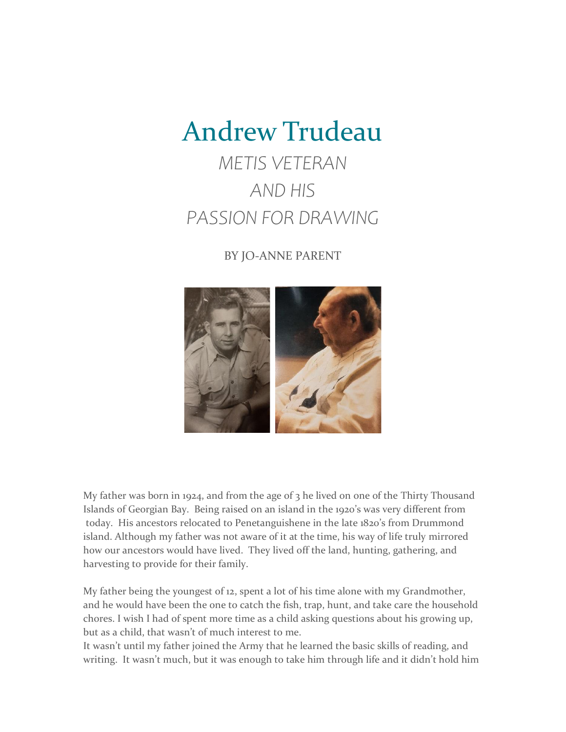## Andrew Trudeau

## *METIS VETERAN AND HIS PASSION FOR DRAWING*

## BY JO-ANNE PARENT



My father was born in 1924, and from the age of  $3$  he lived on one of the Thirty Thousand Islands of Georgian Bay. Being raised on an island in the 1920's was very different from today. His ancestors relocated to Penetanguishene in the late 1820's from Drummond island. Although my father was not aware of it at the time, his way of life truly mirrored how our ancestors would have lived. They lived off the land, hunting, gathering, and harvesting to provide for their family.

My father being the youngest of 12, spent a lot of his time alone with my Grandmother, and he would have been the one to catch the fish, trap, hunt, and take care the household chores. I wish I had of spent more time as a child asking questions about his growing up, but as a child, that wasn't of much interest to me.

It wasn't until my father joined the Army that he learned the basic skills of reading, and writing. It wasn't much, but it was enough to take him through life and it didn't hold him